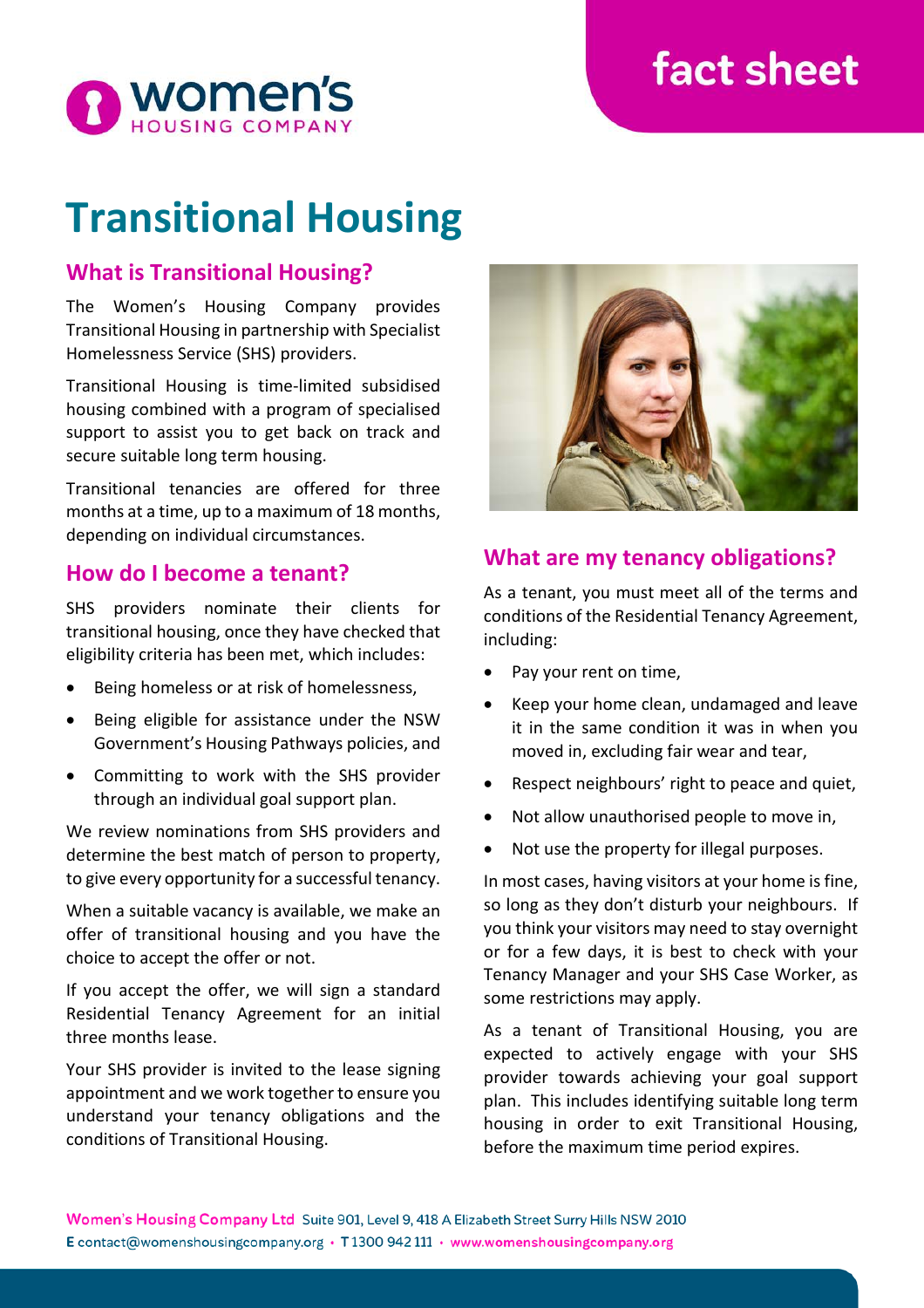# **fact sheet**



# **Transitional Housing**

## **What is Transitional Housing?**

The Women's Housing Company provides Transitional Housing in partnership with Specialist Homelessness Service (SHS) providers.

Transitional Housing is time-limited subsidised housing combined with a program of specialised support to assist you to get back on track and secure suitable long term housing.

Transitional tenancies are offered for three months at a time, up to a maximum of 18 months, depending on individual circumstances.

### **How do I become a tenant?**

SHS providers nominate their clients for transitional housing, once they have checked that eligibility criteria has been met, which includes:

- Being homeless or at risk of homelessness,
- Being eligible for assistance under the NSW Government's Housing Pathways policies, and
- Committing to work with the SHS provider through an individual goal support plan.

We review nominations from SHS providers and determine the best match of person to property, to give every opportunity for a successful tenancy.

When a suitable vacancy is available, we make an offer of transitional housing and you have the choice to accept the offer or not.

If you accept the offer, we will sign a standard Residential Tenancy Agreement for an initial three months lease.

Your SHS provider is invited to the lease signing appointment and we work together to ensure you understand your tenancy obligations and the conditions of Transitional Housing.



## **What are my tenancy obligations?**

As a tenant, you must meet all of the terms and conditions of the Residential Tenancy Agreement, including:

- Pay your rent on time,
- Keep your home clean, undamaged and leave it in the same condition it was in when you moved in, excluding fair wear and tear,
- Respect neighbours' right to peace and quiet,
- Not allow unauthorised people to move in,
- Not use the property for illegal purposes.

In most cases, having visitors at your home is fine, so long as they don't disturb your neighbours. If you think your visitors may need to stay overnight or for a few days, it is best to check with your Tenancy Manager and your SHS Case Worker, as some restrictions may apply.

As a tenant of Transitional Housing, you are expected to actively engage with your SHS provider towards achieving your goal support plan. This includes identifying suitable long term housing in order to exit Transitional Housing, before the maximum time period expires.